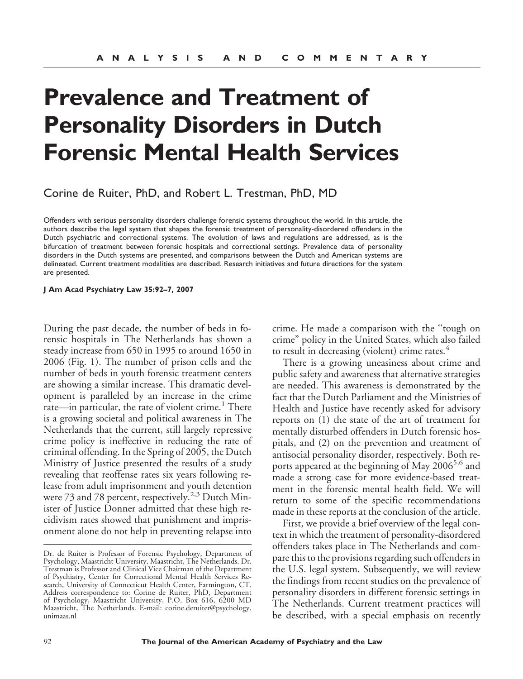# **Prevalence and Treatment of Personality Disorders in Dutch Forensic Mental Health Services**

Corine de Ruiter, PhD, and Robert L. Trestman, PhD, MD

Offenders with serious personality disorders challenge forensic systems throughout the world. In this article, the authors describe the legal system that shapes the forensic treatment of personality-disordered offenders in the Dutch psychiatric and correctional systems. The evolution of laws and regulations are addressed, as is the bifurcation of treatment between forensic hospitals and correctional settings. Prevalence data of personality disorders in the Dutch systems are presented, and comparisons between the Dutch and American systems are delineated. Current treatment modalities are described. Research initiatives and future directions for the system are presented.

#### **J Am Acad Psychiatry Law 35:92–7, 2007**

During the past decade, the number of beds in forensic hospitals in The Netherlands has shown a steady increase from 650 in 1995 to around 1650 in 2006 (Fig. 1). The number of prison cells and the number of beds in youth forensic treatment centers are showing a similar increase. This dramatic development is paralleled by an increase in the crime rate—in particular, the rate of violent crime.<sup>1</sup> There is a growing societal and political awareness in The Netherlands that the current, still largely repressive crime policy is ineffective in reducing the rate of criminal offending. In the Spring of 2005, the Dutch Ministry of Justice presented the results of a study revealing that reoffense rates six years following release from adult imprisonment and youth detention were 73 and 78 percent, respectively.<sup>2,3</sup> Dutch Minister of Justice Donner admitted that these high recidivism rates showed that punishment and imprisonment alone do not help in preventing relapse into

crime. He made a comparison with the ''tough on crime" policy in the United States, which also failed to result in decreasing (violent) crime rates.<sup>4</sup>

There is a growing uneasiness about crime and public safety and awareness that alternative strategies are needed. This awareness is demonstrated by the fact that the Dutch Parliament and the Ministries of Health and Justice have recently asked for advisory reports on (1) the state of the art of treatment for mentally disturbed offenders in Dutch forensic hospitals, and (2) on the prevention and treatment of antisocial personality disorder, respectively. Both reports appeared at the beginning of May 2006<sup>5,6</sup> and made a strong case for more evidence-based treatment in the forensic mental health field. We will return to some of the specific recommendations made in these reports at the conclusion of the article.

First, we provide a brief overview of the legal context in which the treatment of personality-disordered offenders takes place in The Netherlands and compare this to the provisions regarding such offenders in the U.S. legal system. Subsequently, we will review the findings from recent studies on the prevalence of personality disorders in different forensic settings in The Netherlands. Current treatment practices will be described, with a special emphasis on recently

Dr. de Ruiter is Professor of Forensic Psychology, Department of Psychology, Maastricht University, Maastricht, The Netherlands. Dr. Trestman is Professor and Clinical Vice Chairman of the Department of Psychiatry, Center for Correctional Mental Health Services Research, University of Connecticut Health Center, Farmington, CT. Address correspondence to: Corine de Ruiter, PhD, Department of Psychology, Maastricht University, P.O. Box 616, 6200 MD Maastricht, The Netherlands. E-mail: corine.deruiter@psychology. unimaas.nl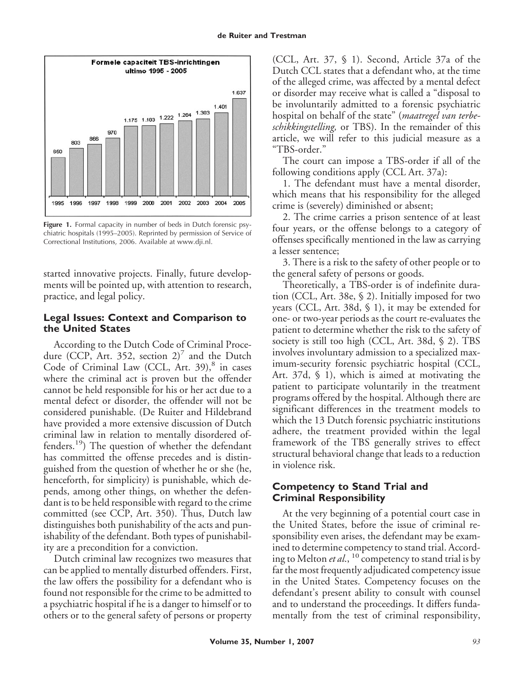

**Figure 1.** Formal capacity in number of beds in Dutch forensic psychiatric hospitals (1995–2005). Reprinted by permission of Service of Correctional Institutions, 2006. Available at www.dji.nl.

started innovative projects. Finally, future developments will be pointed up, with attention to research, practice, and legal policy.

# **Legal Issues: Context and Comparison to the United States**

According to the Dutch Code of Criminal Procedure (CCP, Art. 352, section 2)<sup> $\prime$ </sup> and the Dutch Code of Criminal Law (CCL, Art.  $39$ ), $8$  in cases where the criminal act is proven but the offender cannot be held responsible for his or her act due to a mental defect or disorder, the offender will not be considered punishable. (De Ruiter and Hildebrand have provided a more extensive discussion of Dutch criminal law in relation to mentally disordered offenders.<sup>19</sup>) The question of whether the defendant has committed the offense precedes and is distinguished from the question of whether he or she (he, henceforth, for simplicity) is punishable, which depends, among other things, on whether the defendant is to be held responsible with regard to the crime committed (see CCP, Art. 350). Thus, Dutch law distinguishes both punishability of the acts and punishability of the defendant. Both types of punishability are a precondition for a conviction.

Dutch criminal law recognizes two measures that can be applied to mentally disturbed offenders. First, the law offers the possibility for a defendant who is found not responsible for the crime to be admitted to a psychiatric hospital if he is a danger to himself or to others or to the general safety of persons or property

(CCL, Art. 37, § 1). Second, Article 37a of the Dutch CCL states that a defendant who, at the time of the alleged crime, was affected by a mental defect or disorder may receive what is called a "disposal to be involuntarily admitted to a forensic psychiatric hospital on behalf of the state" (*maatregel van terbeschikkingstelling,* or TBS). In the remainder of this article, we will refer to this judicial measure as a "TBS-order."

The court can impose a TBS-order if all of the following conditions apply (CCL Art. 37a):

1. The defendant must have a mental disorder, which means that his responsibility for the alleged crime is (severely) diminished or absent;

2. The crime carries a prison sentence of at least four years, or the offense belongs to a category of offenses specifically mentioned in the law as carrying a lesser sentence;

3. There is a risk to the safety of other people or to the general safety of persons or goods.

Theoretically, a TBS-order is of indefinite duration (CCL, Art. 38e, § 2). Initially imposed for two years (CCL, Art. 38d, § 1), it may be extended for one- or two-year periods as the court re-evaluates the patient to determine whether the risk to the safety of society is still too high (CCL, Art. 38d, § 2). TBS involves involuntary admission to a specialized maximum-security forensic psychiatric hospital (CCL, Art. 37d, § 1), which is aimed at motivating the patient to participate voluntarily in the treatment programs offered by the hospital. Although there are significant differences in the treatment models to which the 13 Dutch forensic psychiatric institutions adhere, the treatment provided within the legal framework of the TBS generally strives to effect structural behavioral change that leads to a reduction in violence risk.

# **Competency to Stand Trial and Criminal Responsibility**

At the very beginning of a potential court case in the United States, before the issue of criminal responsibility even arises, the defendant may be examined to determine competency to stand trial. According to Melton *et al.*, <sup>10</sup> competency to stand trial is by far the most frequently adjudicated competency issue in the United States. Competency focuses on the defendant's present ability to consult with counsel and to understand the proceedings. It differs fundamentally from the test of criminal responsibility,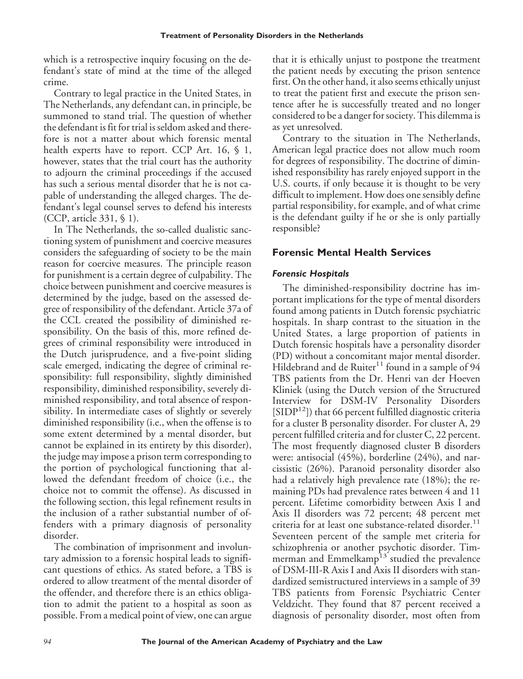which is a retrospective inquiry focusing on the defendant's state of mind at the time of the alleged crime.

Contrary to legal practice in the United States, in The Netherlands, any defendant can, in principle, be summoned to stand trial. The question of whether the defendant is fit for trial is seldom asked and therefore is not a matter about which forensic mental health experts have to report. CCP Art. 16, § 1, however, states that the trial court has the authority to adjourn the criminal proceedings if the accused has such a serious mental disorder that he is not capable of understanding the alleged charges. The defendant's legal counsel serves to defend his interests (CCP, article 331, § 1).

In The Netherlands, the so-called dualistic sanctioning system of punishment and coercive measures considers the safeguarding of society to be the main reason for coercive measures. The principle reason for punishment is a certain degree of culpability. The choice between punishment and coercive measures is determined by the judge, based on the assessed degree of responsibility of the defendant. Article 37a of the CCL created the possibility of diminished responsibility. On the basis of this, more refined degrees of criminal responsibility were introduced in the Dutch jurisprudence, and a five-point sliding scale emerged, indicating the degree of criminal responsibility: full responsibility, slightly diminished responsibility, diminished responsibility, severely diminished responsibility, and total absence of responsibility. In intermediate cases of slightly or severely diminished responsibility (i.e., when the offense is to some extent determined by a mental disorder, but cannot be explained in its entirety by this disorder), the judge may impose a prison term corresponding to the portion of psychological functioning that allowed the defendant freedom of choice (i.e., the choice not to commit the offense). As discussed in the following section, this legal refinement results in the inclusion of a rather substantial number of offenders with a primary diagnosis of personality disorder.

The combination of imprisonment and involuntary admission to a forensic hospital leads to significant questions of ethics. As stated before, a TBS is ordered to allow treatment of the mental disorder of the offender, and therefore there is an ethics obligation to admit the patient to a hospital as soon as possible. From a medical point of view, one can argue that it is ethically unjust to postpone the treatment the patient needs by executing the prison sentence first. On the other hand, it also seems ethically unjust to treat the patient first and execute the prison sentence after he is successfully treated and no longer considered to be a danger for society. This dilemma is as yet unresolved.

Contrary to the situation in The Netherlands, American legal practice does not allow much room for degrees of responsibility. The doctrine of diminished responsibility has rarely enjoyed support in the U.S. courts, if only because it is thought to be very difficult to implement. How does one sensibly define partial responsibility, for example, and of what crime is the defendant guilty if he or she is only partially responsible?

## **Forensic Mental Health Services**

## *Forensic Hospitals*

The diminished-responsibility doctrine has important implications for the type of mental disorders found among patients in Dutch forensic psychiatric hospitals. In sharp contrast to the situation in the United States, a large proportion of patients in Dutch forensic hospitals have a personality disorder (PD) without a concomitant major mental disorder. Hildebrand and de Ruiter $11$  found in a sample of 94 TBS patients from the Dr. Henri van der Hoeven Kliniek (using the Dutch version of the Structured Interview for DSM-IV Personality Disorders  $[SIDP<sup>12</sup>]$ ) that 66 percent fulfilled diagnostic criteria for a cluster B personality disorder. For cluster A, 29 percent fulfilled criteria and for cluster C, 22 percent. The most frequently diagnosed cluster B disorders were: antisocial (45%), borderline (24%), and narcissistic (26%). Paranoid personality disorder also had a relatively high prevalence rate (18%); the remaining PDs had prevalence rates between 4 and 11 percent. Lifetime comorbidity between Axis I and Axis II disorders was 72 percent; 48 percent met criteria for at least one substance-related disorder.<sup>11</sup> Seventeen percent of the sample met criteria for schizophrenia or another psychotic disorder. Timmerman and Emmelkamp<sup>13</sup> studied the prevalence of DSM-III-R Axis I and Axis II disorders with standardized semistructured interviews in a sample of 39 TBS patients from Forensic Psychiatric Center Veldzicht. They found that 87 percent received a diagnosis of personality disorder, most often from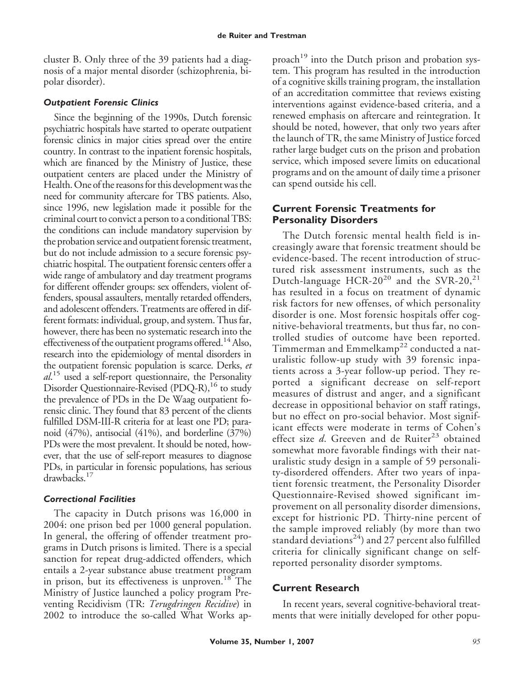cluster B. Only three of the 39 patients had a diagnosis of a major mental disorder (schizophrenia, bipolar disorder).

### *Outpatient Forensic Clinics*

Since the beginning of the 1990s, Dutch forensic psychiatric hospitals have started to operate outpatient forensic clinics in major cities spread over the entire country. In contrast to the inpatient forensic hospitals, which are financed by the Ministry of Justice, these outpatient centers are placed under the Ministry of Health. One of the reasons for this development was the need for community aftercare for TBS patients. Also, since 1996, new legislation made it possible for the criminal court to convict a person to a conditional TBS: the conditions can include mandatory supervision by the probation service and outpatient forensic treatment, but do not include admission to a secure forensic psychiatric hospital. The outpatient forensic centers offer a wide range of ambulatory and day treatment programs for different offender groups: sex offenders, violent offenders, spousal assaulters, mentally retarded offenders, and adolescent offenders. Treatments are offered in different formats: individual, group, and system. Thus far, however, there has been no systematic research into the effectiveness of the outpatient programs offered.<sup>14</sup> Also, research into the epidemiology of mental disorders in the outpatient forensic population is scarce. Derks, *et al*. <sup>15</sup> used a self-report questionnaire, the Personality Disorder Questionnaire-Revised (PDQ-R),<sup>16</sup> to study the prevalence of PDs in the De Waag outpatient forensic clinic. They found that 83 percent of the clients fulfilled DSM-III-R criteria for at least one PD; paranoid (47%), antisocial (41%), and borderline (37%) PDs were the most prevalent. It should be noted, however, that the use of self-report measures to diagnose PDs, in particular in forensic populations, has serious drawbacks.17

#### *Correctional Facilities*

The capacity in Dutch prisons was 16,000 in 2004: one prison bed per 1000 general population. In general, the offering of offender treatment programs in Dutch prisons is limited. There is a special sanction for repeat drug-addicted offenders, which entails a 2-year substance abuse treatment program in prison, but its effectiveness is unproven.<sup>18</sup> The Ministry of Justice launched a policy program Preventing Recidivism (TR: *Terugdringen Recidive*) in 2002 to introduce the so-called What Works ap-

proach<sup>19</sup> into the Dutch prison and probation system. This program has resulted in the introduction of a cognitive skills training program, the installation of an accreditation committee that reviews existing interventions against evidence-based criteria, and a renewed emphasis on aftercare and reintegration. It should be noted, however, that only two years after the launch of TR, the same Ministry of Justice forced rather large budget cuts on the prison and probation service, which imposed severe limits on educational programs and on the amount of daily time a prisoner can spend outside his cell.

## **Current Forensic Treatments for Personality Disorders**

The Dutch forensic mental health field is increasingly aware that forensic treatment should be evidence-based. The recent introduction of structured risk assessment instruments, such as the Dutch-language HCR-20<sup>20</sup> and the SVR-20,<sup>21</sup> has resulted in a focus on treatment of dynamic risk factors for new offenses, of which personality disorder is one. Most forensic hospitals offer cognitive-behavioral treatments, but thus far, no controlled studies of outcome have been reported. Timmerman and Emmelkamp<sup>22</sup> conducted a naturalistic follow-up study with 39 forensic inpatients across a 3-year follow-up period. They reported a significant decrease on self-report measures of distrust and anger, and a significant decrease in oppositional behavior on staff ratings, but no effect on pro-social behavior. Most significant effects were moderate in terms of Cohen's effect size *d*. Greeven and de Ruiter<sup>23</sup> obtained somewhat more favorable findings with their naturalistic study design in a sample of 59 personality-disordered offenders. After two years of inpatient forensic treatment, the Personality Disorder Questionnaire-Revised showed significant improvement on all personality disorder dimensions, except for histrionic PD. Thirty-nine percent of the sample improved reliably (by more than two standard deviations<sup>24</sup>) and 27 percent also fulfilled criteria for clinically significant change on selfreported personality disorder symptoms.

## **Current Research**

In recent years, several cognitive-behavioral treatments that were initially developed for other popu-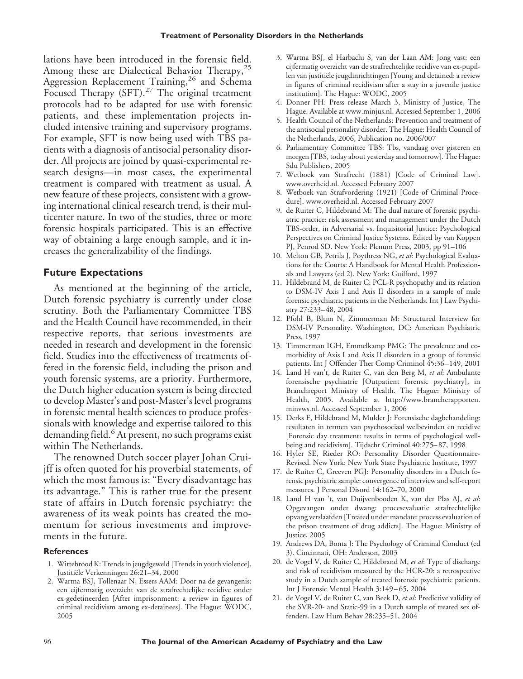lations have been introduced in the forensic field. Among these are Dialectical Behavior Therapy,<sup>25</sup> Aggression Replacement Training,<sup>26</sup> and Schema Focused Therapy (SFT).<sup>27</sup> The original treatment protocols had to be adapted for use with forensic patients, and these implementation projects included intensive training and supervisory programs. For example, SFT is now being used with TBS patients with a diagnosis of antisocial personality disorder. All projects are joined by quasi-experimental research designs—in most cases, the experimental treatment is compared with treatment as usual. A new feature of these projects, consistent with a growing international clinical research trend, is their multicenter nature. In two of the studies, three or more forensic hospitals participated. This is an effective way of obtaining a large enough sample, and it increases the generalizability of the findings.

#### **Future Expectations**

As mentioned at the beginning of the article, Dutch forensic psychiatry is currently under close scrutiny. Both the Parliamentary Committee TBS and the Health Council have recommended, in their respective reports, that serious investments are needed in research and development in the forensic field. Studies into the effectiveness of treatments offered in the forensic field, including the prison and youth forensic systems, are a priority. Furthermore, the Dutch higher education system is being directed to develop Master's and post-Master's level programs in forensic mental health sciences to produce professionals with knowledge and expertise tailored to this demanding field.<sup>6</sup> At present, no such programs exist within The Netherlands.

The renowned Dutch soccer player Johan Cruijff is often quoted for his proverbial statements, of which the most famous is: "Every disadvantage has its advantage." This is rather true for the present state of affairs in Dutch forensic psychiatry: the awareness of its weak points has created the momentum for serious investments and improvements in the future.

#### **References**

- 1. Wittebrood K: Trends in jeugdgeweld [Trends in youth violence]. Justitiële Verkenningen 26:21–34, 2000
- 2. Wartna BSJ, Tollenaar N, Essers AAM: Door na de gevangenis: een cijfermatig overzicht van de strafrechtelijke recidive onder ex-gedetineerden [After imprisonment: a review in figures of criminal recidivism among ex-detainees]. The Hague: WODC, 2005
- 3. Wartna BSJ, el Harbachi S, van der Laan AM: Jong vast: een cijfermatig overzicht van de strafrechtelijke recidive van ex-pupillen van justitiële jeugdinrichtingen [Young and detained: a review in figures of criminal recidivism after a stay in a juvenile justice institution]. The Hague: WODC, 2005
- 4. Donner PH: Press release March 3, Ministry of Justice, The Hague. Available at www.minjus.nl. Accessed September 1, 2006
- 5. Health Council of the Netherlands: Prevention and treatment of the antisocial personality disorder. The Hague: Health Council of the Netherlands, 2006, Publication no. 2006/007
- 6. Parliamentary Committee TBS: Tbs, vandaag over gisteren en morgen [TBS, today about yesterday and tomorrow]. The Hague: Sdu Publishers, 2005
- 7. Wetboek van Strafrecht (1881) [Code of Criminal Law]. www.overheid.nl. Accessed February 2007
- 8. Wetboek van Strafvordering (1921) [Code of Criminal Procedure]. www.overheid.nl. Accessed February 2007
- 9. de Ruiter C, Hildebrand M: The dual nature of forensic psychiatric practice: risk assessment and management under the Dutch TBS-order, in Adversarial vs. Inquisitorial Justice: Psychological Perspectives on Criminal Justice Systems. Edited by van Koppen PJ, Penrod SD. New York: Plenum Press, 2003, pp 91–106
- 10. Melton GB, Petrila J, Poythress NG, *et al*: Psychological Evaluations for the Courts: A Handbook for Mental Health Professionals and Lawyers (ed 2). New York: Guilford, 1997
- 11. Hildebrand M, de Ruiter C: PCL-R psychopathy and its relation to DSM-IV Axis I and Axis II disorders in a sample of male forensic psychiatric patients in the Netherlands. Int J Law Psychiatry 27:233– 48, 2004
- 12. Pfohl B, Blum N, Zimmerman M: Structured Interview for DSM-IV Personality. Washington, DC: American Psychiatric Press, 1997
- 13. Timmerman IGH, Emmelkamp PMG: The prevalence and comorbidity of Axis I and Axis II disorders in a group of forensic patients. Int J Offender Ther Comp Criminol 45:36 –149, 2001
- 14. Land H van't, de Ruiter C, van den Berg M, *et al*: Ambulante forensische psychiatrie [Outpatient forensic psychiatry], in Branchreport Ministry of Health. The Hague: Ministry of Health, 2005. Available at http://www.brancherapporten. minvws.nl. Accessed September 1, 2006
- 15. Derks F, Hildebrand M, Mulder J: Forensische dagbehandeling: resultaten in termen van psychosociaal welbevinden en recidive [Forensic day treatment: results in terms of psychological wellbeing and recidivism]. Tijdschr Criminol 40:275– 87, 1998
- 16. Hyler SE, Rieder RO: Personality Disorder Questionnaire-Revised. New York: New York State Psychiatric Institute, 1997
- 17. de Ruiter C, Greeven PGJ: Personality disorders in a Dutch forensic psychiatric sample: convergence of interview and self-report measures. J Personal Disord 14:162–70, 2000
- 18. Land H van 't, van Duijvenbooden K, van der Plas AJ, *et al*: Opgevangen onder dwang: procesevaluatie strafrechtelijke opvang verslaafden [Treated under mandate: process evaluation of the prison treatment of drug addicts]. The Hague: Ministry of Justice, 2005
- 19. Andrews DA, Bonta J: The Psychology of Criminal Conduct (ed 3). Cincinnati, OH: Anderson, 2003
- 20. de Vogel V, de Ruiter C, Hildebrand M, *et al*: Type of discharge and risk of recidivism measured by the HCR-20: a retrospective study in a Dutch sample of treated forensic psychiatric patients. Int J Forensic Mental Health 3:149 – 65, 2004
- 21. de Vogel V, de Ruiter C, van Beek D, *et al*: Predictive validity of the SVR-20- and Static-99 in a Dutch sample of treated sex offenders. Law Hum Behav 28:235–51, 2004